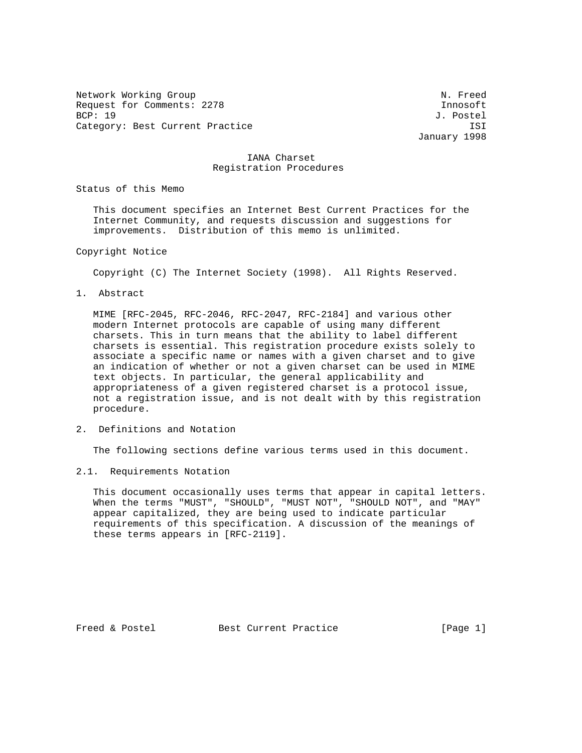Network Working Group Network Working Group Network Network Network Network Network Network Network Network Ne Request for Comments: 2278 Innosoft BCP: 19 J. Postel Category: Best Current Practice **ISI** 

January 1998

## IANA Charset Registration Procedures

Status of this Memo

 This document specifies an Internet Best Current Practices for the Internet Community, and requests discussion and suggestions for improvements. Distribution of this memo is unlimited.

#### Copyright Notice

Copyright (C) The Internet Society (1998). All Rights Reserved.

1. Abstract

 MIME [RFC-2045, RFC-2046, RFC-2047, RFC-2184] and various other modern Internet protocols are capable of using many different charsets. This in turn means that the ability to label different charsets is essential. This registration procedure exists solely to associate a specific name or names with a given charset and to give an indication of whether or not a given charset can be used in MIME text objects. In particular, the general applicability and appropriateness of a given registered charset is a protocol issue, not a registration issue, and is not dealt with by this registration procedure.

2. Definitions and Notation

The following sections define various terms used in this document.

2.1. Requirements Notation

 This document occasionally uses terms that appear in capital letters. When the terms "MUST", "SHOULD", "MUST NOT", "SHOULD NOT", and "MAY" appear capitalized, they are being used to indicate particular requirements of this specification. A discussion of the meanings of these terms appears in [RFC-2119].

Freed & Postel Best Current Practice [Page 1]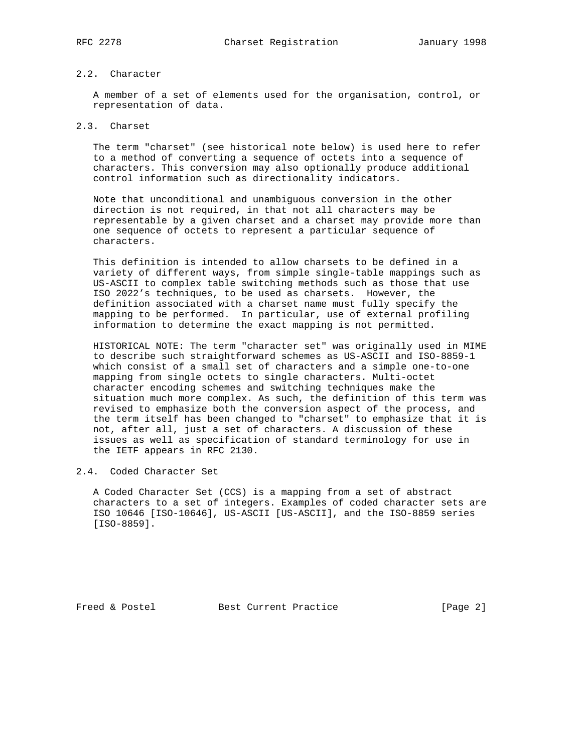# 2.2. Character

 A member of a set of elements used for the organisation, control, or representation of data.

# 2.3. Charset

 The term "charset" (see historical note below) is used here to refer to a method of converting a sequence of octets into a sequence of characters. This conversion may also optionally produce additional control information such as directionality indicators.

 Note that unconditional and unambiguous conversion in the other direction is not required, in that not all characters may be representable by a given charset and a charset may provide more than one sequence of octets to represent a particular sequence of characters.

 This definition is intended to allow charsets to be defined in a variety of different ways, from simple single-table mappings such as US-ASCII to complex table switching methods such as those that use ISO 2022's techniques, to be used as charsets. However, the definition associated with a charset name must fully specify the mapping to be performed. In particular, use of external profiling information to determine the exact mapping is not permitted.

 HISTORICAL NOTE: The term "character set" was originally used in MIME to describe such straightforward schemes as US-ASCII and ISO-8859-1 which consist of a small set of characters and a simple one-to-one mapping from single octets to single characters. Multi-octet character encoding schemes and switching techniques make the situation much more complex. As such, the definition of this term was revised to emphasize both the conversion aspect of the process, and the term itself has been changed to "charset" to emphasize that it is not, after all, just a set of characters. A discussion of these issues as well as specification of standard terminology for use in the IETF appears in RFC 2130.

# 2.4. Coded Character Set

 A Coded Character Set (CCS) is a mapping from a set of abstract characters to a set of integers. Examples of coded character sets are ISO 10646 [ISO-10646], US-ASCII [US-ASCII], and the ISO-8859 series [ISO-8859].

Freed & Postel Best Current Practice [Page 2]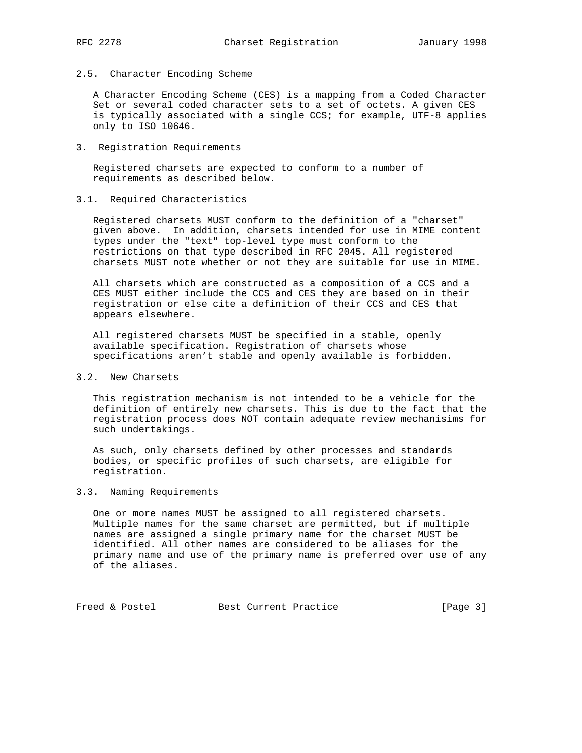### 2.5. Character Encoding Scheme

 A Character Encoding Scheme (CES) is a mapping from a Coded Character Set or several coded character sets to a set of octets. A given CES is typically associated with a single CCS; for example, UTF-8 applies only to ISO 10646.

3. Registration Requirements

 Registered charsets are expected to conform to a number of requirements as described below.

### 3.1. Required Characteristics

 Registered charsets MUST conform to the definition of a "charset" given above. In addition, charsets intended for use in MIME content types under the "text" top-level type must conform to the restrictions on that type described in RFC 2045. All registered charsets MUST note whether or not they are suitable for use in MIME.

 All charsets which are constructed as a composition of a CCS and a CES MUST either include the CCS and CES they are based on in their registration or else cite a definition of their CCS and CES that appears elsewhere.

 All registered charsets MUST be specified in a stable, openly available specification. Registration of charsets whose specifications aren't stable and openly available is forbidden.

# 3.2. New Charsets

 This registration mechanism is not intended to be a vehicle for the definition of entirely new charsets. This is due to the fact that the registration process does NOT contain adequate review mechanisims for such undertakings.

 As such, only charsets defined by other processes and standards bodies, or specific profiles of such charsets, are eligible for registration.

#### 3.3. Naming Requirements

 One or more names MUST be assigned to all registered charsets. Multiple names for the same charset are permitted, but if multiple names are assigned a single primary name for the charset MUST be identified. All other names are considered to be aliases for the primary name and use of the primary name is preferred over use of any of the aliases.

Freed & Postel Best Current Practice [Page 3]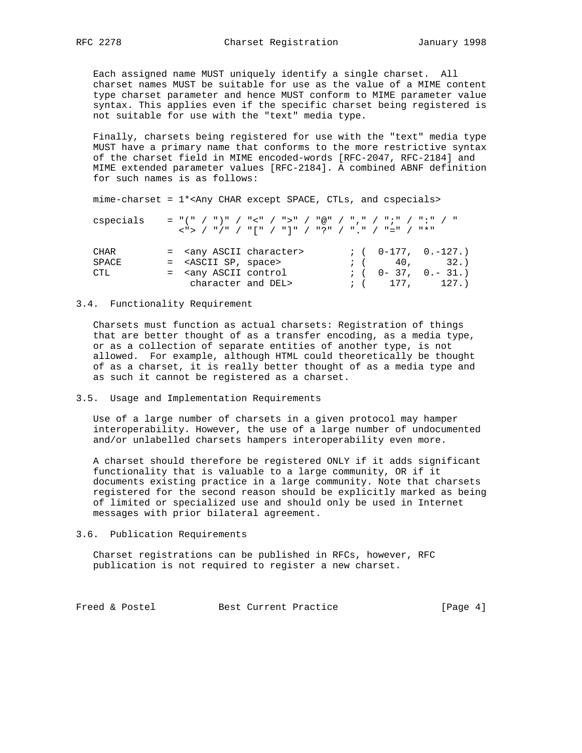Each assigned name MUST uniquely identify a single charset. All charset names MUST be suitable for use as the value of a MIME content type charset parameter and hence MUST conform to MIME parameter value syntax. This applies even if the specific charset being registered is not suitable for use with the "text" media type.

 Finally, charsets being registered for use with the "text" media type MUST have a primary name that conforms to the more restrictive syntax of the charset field in MIME encoded-words [RFC-2047, RFC-2184] and MIME extended parameter values [RFC-2184]. A combined ABNF definition for such names is as follows:

mime-charset = 1\*<Any CHAR except SPACE, CTLs, and cspecials>

| cspecials |  |                                                                                                                         |  |  |  |                                                                        | = "(" / ")" / "<" / ">" / "@" / "," / ";" / ":" / " |
|-----------|--|-------------------------------------------------------------------------------------------------------------------------|--|--|--|------------------------------------------------------------------------|-----------------------------------------------------|
|           |  |                                                                                                                         |  |  |  | _< "> _/ _ " / " _/ _ "   " _/ _ "   " _/ _ " _ " _/ _ " _" _/ _ " * " |                                                     |
|           |  |                                                                                                                         |  |  |  |                                                                        |                                                     |
| CHAR      |  | = <any ascii="" character=""></any>                                                                                     |  |  |  |                                                                        | $: (0-177, 0,-127.)$                                |
| SPACE     |  | = <ascii sp,="" space=""></ascii>                                                                                       |  |  |  |                                                                        | (1, 40, 32.)                                        |
| CTL       |  | = <any ascii="" control<="" td=""><td></td><td></td><td></td><td></td><td><math>: (</math> 0 - 37, 0. - 31.)</td></any> |  |  |  |                                                                        | $: ($ 0 - 37, 0. - 31.)                             |
|           |  | character and DEL>                                                                                                      |  |  |  |                                                                        | (177.127.)                                          |

#### 3.4. Functionality Requirement

 Charsets must function as actual charsets: Registration of things that are better thought of as a transfer encoding, as a media type, or as a collection of separate entities of another type, is not allowed. For example, although HTML could theoretically be thought of as a charset, it is really better thought of as a media type and as such it cannot be registered as a charset.

3.5. Usage and Implementation Requirements

 Use of a large number of charsets in a given protocol may hamper interoperability. However, the use of a large number of undocumented and/or unlabelled charsets hampers interoperability even more.

 A charset should therefore be registered ONLY if it adds significant functionality that is valuable to a large community, OR if it documents existing practice in a large community. Note that charsets registered for the second reason should be explicitly marked as being of limited or specialized use and should only be used in Internet messages with prior bilateral agreement.

3.6. Publication Requirements

 Charset registrations can be published in RFCs, however, RFC publication is not required to register a new charset.

Freed & Postel Best Current Practice [Page 4]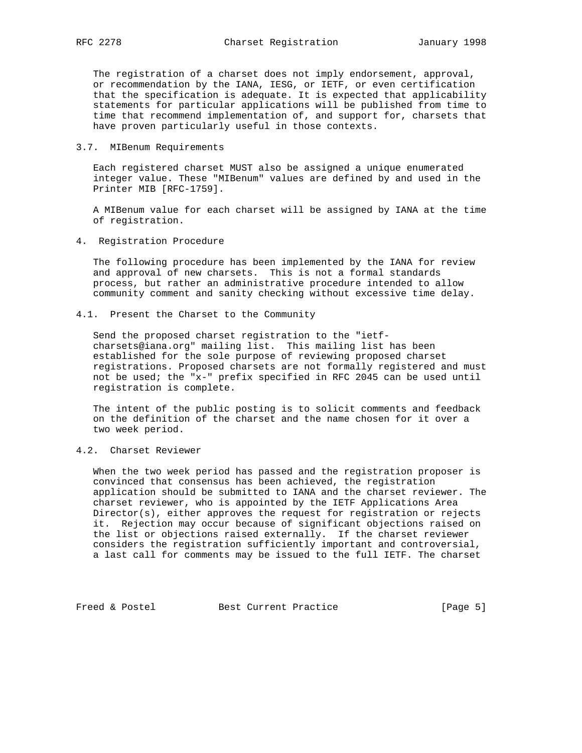The registration of a charset does not imply endorsement, approval, or recommendation by the IANA, IESG, or IETF, or even certification that the specification is adequate. It is expected that applicability statements for particular applications will be published from time to time that recommend implementation of, and support for, charsets that have proven particularly useful in those contexts.

3.7. MIBenum Requirements

 Each registered charset MUST also be assigned a unique enumerated integer value. These "MIBenum" values are defined by and used in the Printer MIB [RFC-1759].

 A MIBenum value for each charset will be assigned by IANA at the time of registration.

4. Registration Procedure

 The following procedure has been implemented by the IANA for review and approval of new charsets. This is not a formal standards process, but rather an administrative procedure intended to allow community comment and sanity checking without excessive time delay.

4.1. Present the Charset to the Community

 Send the proposed charset registration to the "ietf charsets@iana.org" mailing list. This mailing list has been established for the sole purpose of reviewing proposed charset registrations. Proposed charsets are not formally registered and must not be used; the "x-" prefix specified in RFC 2045 can be used until registration is complete.

 The intent of the public posting is to solicit comments and feedback on the definition of the charset and the name chosen for it over a two week period.

4.2. Charset Reviewer

 When the two week period has passed and the registration proposer is convinced that consensus has been achieved, the registration application should be submitted to IANA and the charset reviewer. The charset reviewer, who is appointed by the IETF Applications Area Director(s), either approves the request for registration or rejects it. Rejection may occur because of significant objections raised on the list or objections raised externally. If the charset reviewer considers the registration sufficiently important and controversial, a last call for comments may be issued to the full IETF. The charset

Freed & Postel Best Current Practice [Page 5]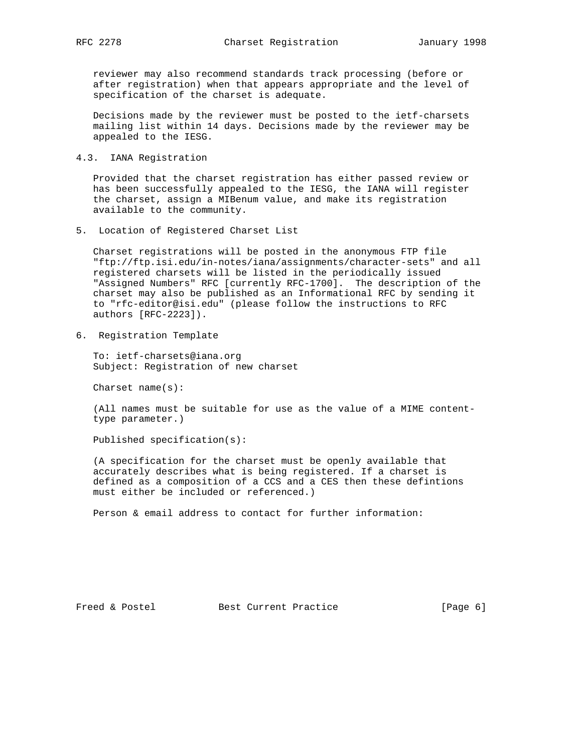reviewer may also recommend standards track processing (before or after registration) when that appears appropriate and the level of specification of the charset is adequate.

 Decisions made by the reviewer must be posted to the ietf-charsets mailing list within 14 days. Decisions made by the reviewer may be appealed to the IESG.

4.3. IANA Registration

 Provided that the charset registration has either passed review or has been successfully appealed to the IESG, the IANA will register the charset, assign a MIBenum value, and make its registration available to the community.

5. Location of Registered Charset List

 Charset registrations will be posted in the anonymous FTP file "ftp://ftp.isi.edu/in-notes/iana/assignments/character-sets" and all registered charsets will be listed in the periodically issued "Assigned Numbers" RFC [currently RFC-1700]. The description of the charset may also be published as an Informational RFC by sending it to "rfc-editor@isi.edu" (please follow the instructions to RFC authors [RFC-2223]).

6. Registration Template

 To: ietf-charsets@iana.org Subject: Registration of new charset

Charset name(s):

 (All names must be suitable for use as the value of a MIME content type parameter.)

Published specification(s):

 (A specification for the charset must be openly available that accurately describes what is being registered. If a charset is defined as a composition of a CCS and a CES then these defintions must either be included or referenced.)

Person & email address to contact for further information: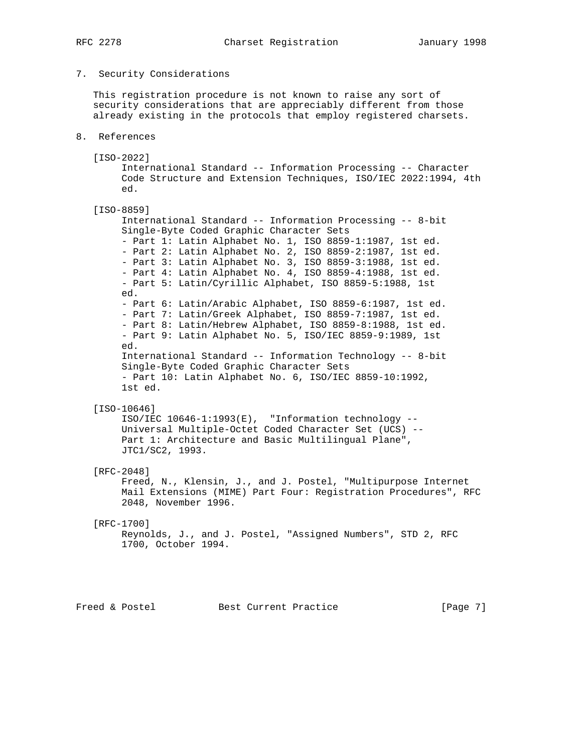# 7. Security Considerations

 This registration procedure is not known to raise any sort of security considerations that are appreciably different from those already existing in the protocols that employ registered charsets.

- 8. References
	- [ISO-2022]

 International Standard -- Information Processing -- Character Code Structure and Extension Techniques, ISO/IEC 2022:1994, 4th ed.

[ISO-8859]

 International Standard -- Information Processing -- 8-bit Single-Byte Coded Graphic Character Sets - Part 1: Latin Alphabet No. 1, ISO 8859-1:1987, 1st ed. - Part 2: Latin Alphabet No. 2, ISO 8859-2:1987, 1st ed. - Part 3: Latin Alphabet No. 3, ISO 8859-3:1988, 1st ed. - Part 4: Latin Alphabet No. 4, ISO 8859-4:1988, 1st ed. - Part 5: Latin/Cyrillic Alphabet, ISO 8859-5:1988, 1st ed. - Part 6: Latin/Arabic Alphabet, ISO 8859-6:1987, 1st ed. - Part 7: Latin/Greek Alphabet, ISO 8859-7:1987, 1st ed. - Part 8: Latin/Hebrew Alphabet, ISO 8859-8:1988, 1st ed. - Part 9: Latin Alphabet No. 5, ISO/IEC 8859-9:1989, 1st ed. International Standard -- Information Technology -- 8-bit Single-Byte Coded Graphic Character Sets - Part 10: Latin Alphabet No. 6, ISO/IEC 8859-10:1992, 1st ed.

# [ISO-10646]

 ISO/IEC 10646-1:1993(E), "Information technology -- Universal Multiple-Octet Coded Character Set (UCS) -- Part 1: Architecture and Basic Multilingual Plane", JTC1/SC2, 1993.

#### [RFC-2048]

 Freed, N., Klensin, J., and J. Postel, "Multipurpose Internet Mail Extensions (MIME) Part Four: Registration Procedures", RFC 2048, November 1996.

#### [RFC-1700]

```
 Reynolds, J., and J. Postel, "Assigned Numbers", STD 2, RFC
1700, October 1994.
```
Freed & Postel Best Current Practice [Page 7]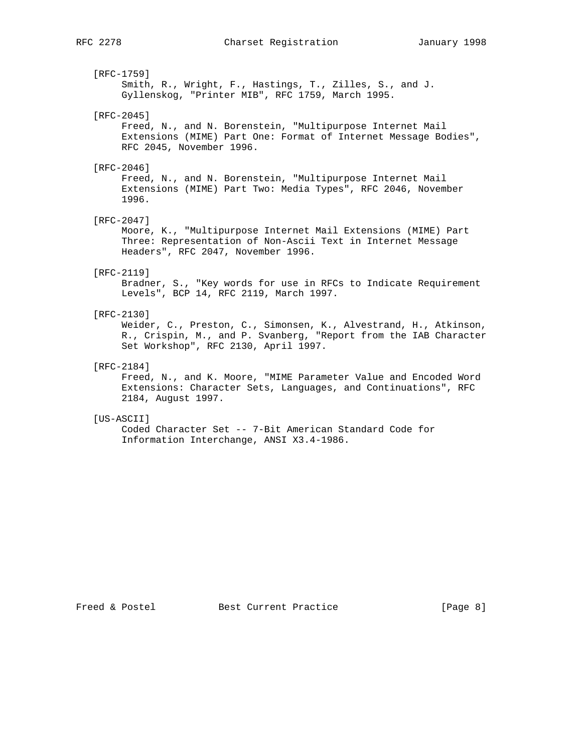[RFC-1759]

 Smith, R., Wright, F., Hastings, T., Zilles, S., and J. Gyllenskog, "Printer MIB", RFC 1759, March 1995.

#### [RFC-2045]

 Freed, N., and N. Borenstein, "Multipurpose Internet Mail Extensions (MIME) Part One: Format of Internet Message Bodies", RFC 2045, November 1996.

#### [RFC-2046]

 Freed, N., and N. Borenstein, "Multipurpose Internet Mail Extensions (MIME) Part Two: Media Types", RFC 2046, November 1996.

#### [RFC-2047]

 Moore, K., "Multipurpose Internet Mail Extensions (MIME) Part Three: Representation of Non-Ascii Text in Internet Message Headers", RFC 2047, November 1996.

#### [RFC-2119]

 Bradner, S., "Key words for use in RFCs to Indicate Requirement Levels", BCP 14, RFC 2119, March 1997.

#### [RFC-2130]

 Weider, C., Preston, C., Simonsen, K., Alvestrand, H., Atkinson, R., Crispin, M., and P. Svanberg, "Report from the IAB Character Set Workshop", RFC 2130, April 1997.

## [RFC-2184]

 Freed, N., and K. Moore, "MIME Parameter Value and Encoded Word Extensions: Character Sets, Languages, and Continuations", RFC 2184, August 1997.

#### [US-ASCII]

 Coded Character Set -- 7-Bit American Standard Code for Information Interchange, ANSI X3.4-1986.

Freed & Postel Best Current Practice [Page 8]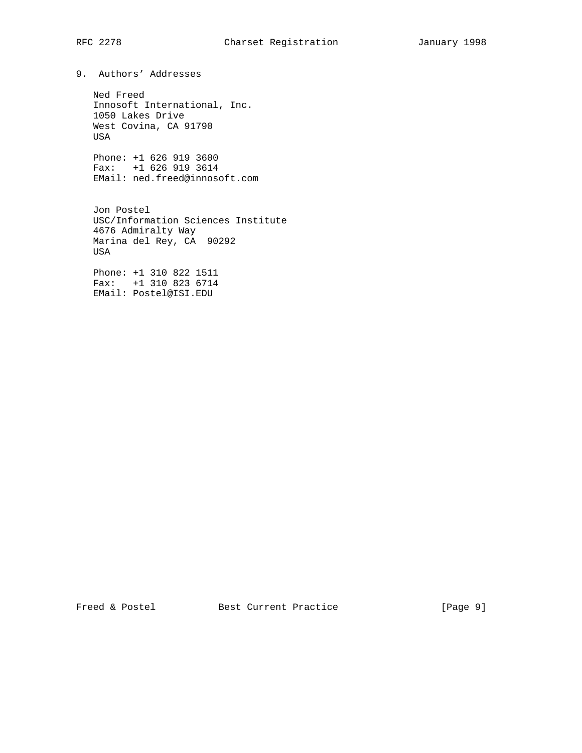# RFC 2278 Charset Registration January 1998

9. Authors' Addresses

 Ned Freed Innosoft International, Inc. 1050 Lakes Drive West Covina, CA 91790 USA

 Phone: +1 626 919 3600 Fax: +1 626 919 3614 EMail: ned.freed@innosoft.com

 Jon Postel USC/Information Sciences Institute 4676 Admiralty Way Marina del Rey, CA 90292 USA

 Phone: +1 310 822 1511 Fax: +1 310 823 6714 EMail: Postel@ISI.EDU

Freed & Postel Best Current Practice [Page 9]